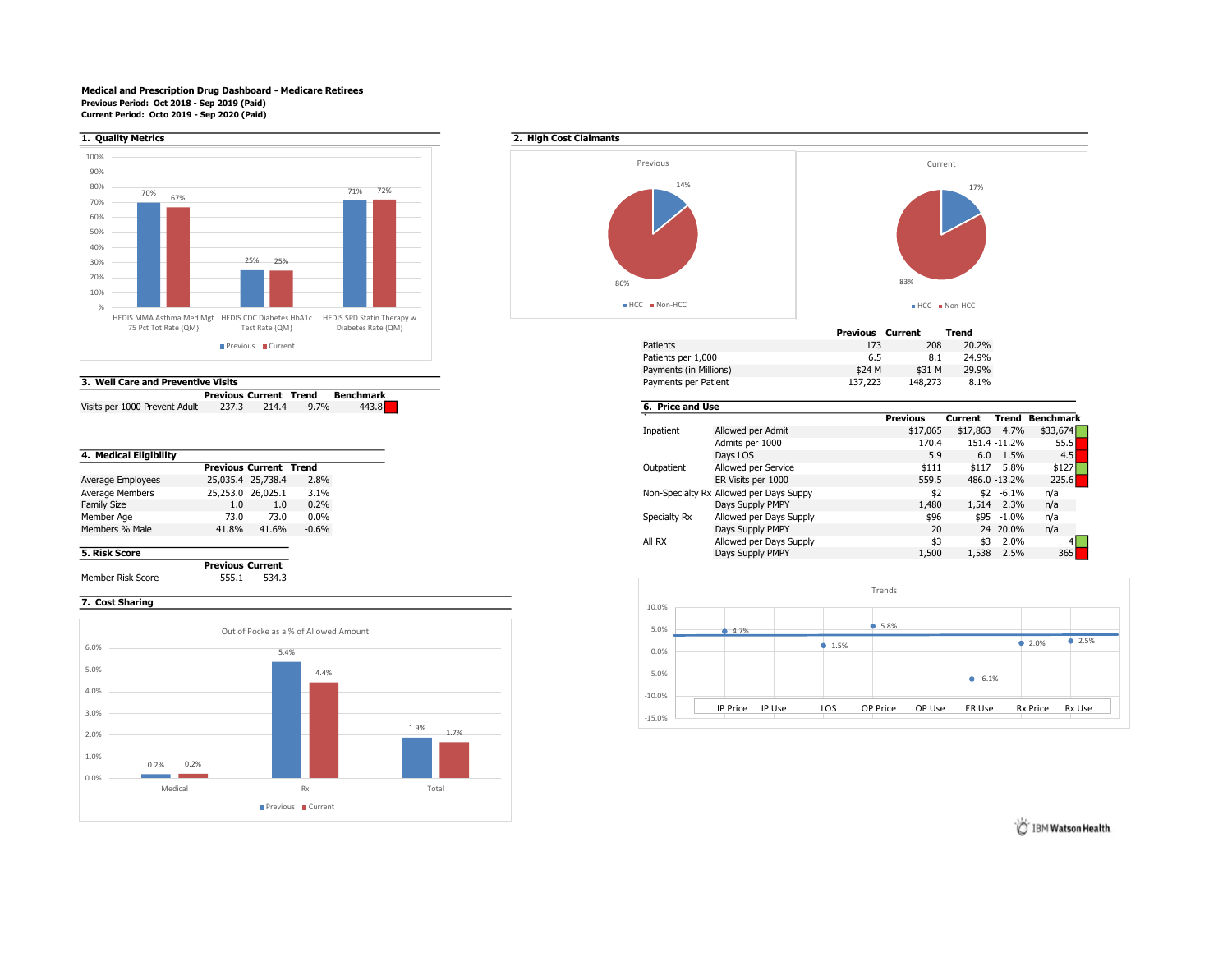### Medical and Prescription Drug Dashboard - Medicare Retirees Previous Period: Oct 2018 - Sep 2019 (Paid) Current Period: Octo 2019 - Sep 2020 (Paid)



| 3. Well Care and Preventive Visits |                               |       |          |                  |  |  |  |  |
|------------------------------------|-------------------------------|-------|----------|------------------|--|--|--|--|
|                                    | <b>Previous Current Trend</b> |       |          | <b>Benchmark</b> |  |  |  |  |
| Visits per 1000 Prevent Adult      | 237.3                         | 214.4 | $-9.7\%$ | 443.8            |  |  |  |  |

|                    |       | <b>Previous Current Trend</b> |         |
|--------------------|-------|-------------------------------|---------|
| Average Employees  |       | 25,035.4 25,738.4             | 2.8%    |
| Average Members    |       | 25,253.0 26,025.1             | 3.1%    |
| <b>Family Size</b> | 1.0   | 1.0                           | 0.2%    |
| Member Age         | 73.0  | 73.0                          | $0.0\%$ |
| Members % Male     | 41.8% | 41.6%                         | $-0.6%$ |
|                    |       |                               |         |

Previous Current Member Risk Score 555.1 534.3

## 7. Cost Sharing





| 75 PCL TOL Rate (QIVI)          | Test Rate (QIVI) | Diabetes Rate (QIVI) | Previous                         | Current |        | Trend |
|---------------------------------|------------------|----------------------|----------------------------------|---------|--------|-------|
|                                 | Previous Current |                      | 173<br>Patients                  |         | 208    | 20.2% |
|                                 |                  |                      | Patients per 1,000<br>6.S        |         | 8.1    | 24.9% |
|                                 |                  |                      | \$24 M<br>Payments (in Millions) |         | \$31 M | 29.9% |
| Well Care and Preventive Visits |                  |                      | 137,223<br>Payments per Patient  | 148.273 |        |       |
|                                 |                  |                      |                                  |         |        |       |

# 6. Price and Use

|                                                                      | Admits per 1000 |  |
|----------------------------------------------------------------------|-----------------|--|
|                                                                      |                 |  |
| <b>Previous Current Trend</b>                                        |                 |  |
| 25,035.4 25,738.4<br>2.8%                                            |                 |  |
| 25,253.0 26,025.1<br>Non-Specialty Rx Allowed per Days Suppy<br>3.1% |                 |  |
| 0.2%<br>1.0<br>1.0                                                   |                 |  |
| 73.0<br>73.0<br>$0.0\%$<br>Specialty Rx                              |                 |  |
| 41.6%<br>$-0.6%$<br>41.8%                                            |                 |  |
| All RX                                                               |                 |  |
|                                                                      |                 |  |
|                                                                      |                 |  |

Previous Current Trend Benchmark



IBM Watson Health